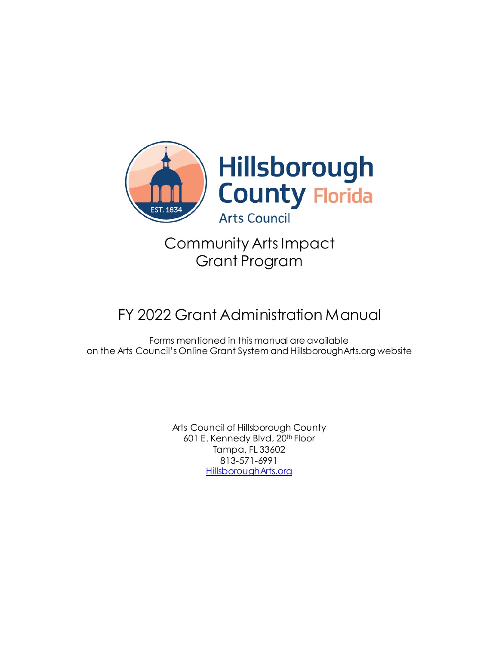

# Community Arts Impact Grant Program

# FY 2022 Grant Administration Manual

Forms mentioned in this manual are available on the Arts Council's Online Grant System and HillsboroughArts.org website

> Arts Council of Hillsborough County 601 E. Kennedy Blvd, 20<sup>th</sup> Floor Tampa, FL 33602 813-571-6991 [HillsboroughArts.org](https://hillsborougharts.org/)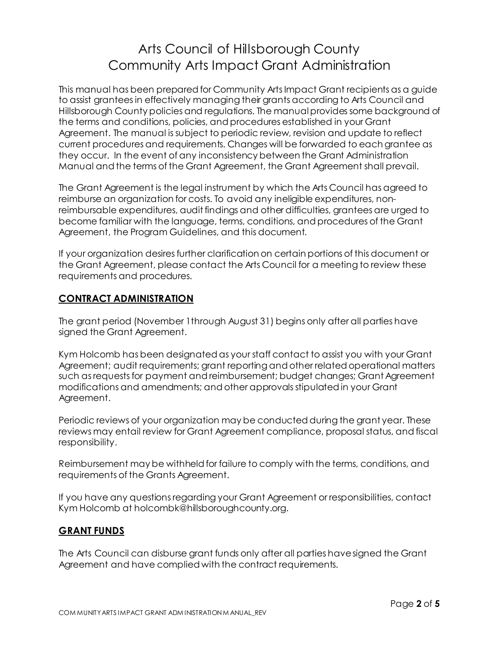# Arts Council of Hillsborough County Community Arts Impact Grant Administration

This manual has been prepared for Community Arts Impact Grant recipients as a guide to assist grantees in effectively managing their grants according to Arts Council and Hillsborough County policies and regulations. The manual provides some background of the terms and conditions, policies, and procedures established in your Grant Agreement. The manual is subject to periodic review, revision and update to reflect current procedures and requirements. Changes will be forwarded to each grantee as they occur. In the event of any inconsistency between the Grant Administration Manual and the terms of the Grant Agreement, the Grant Agreement shall prevail.

The Grant Agreement is the legal instrument by which the Arts Council has agreed to reimburse an organization for costs. To avoid any ineligible expenditures, nonreimbursable expenditures, audit findings and other difficulties, grantees are urged to become familiar with the language, terms, conditions, and procedures of the Grant Agreement, the Program Guidelines, and this document.

If your organization desires further clarification on certain portions of this document or the Grant Agreement, please contact the Arts Council for a meeting to review these requirements and procedures.

## **CONTRACT ADMINISTRATION**

The grant period (November 1through August 31) begins only after all parties have signed the Grant Agreement.

Kym Holcomb has been designated as your staff contact to assist you with your Grant Agreement; audit requirements; grant reporting and other related operational matters such as requests for payment and reimbursement; budget changes; Grant Agreement modifications and amendments; and other approvals stipulated in your Grant Agreement.

Periodic reviews of your organization may be conducted during the grant year. These reviews may entail review for Grant Agreement compliance, proposal status, and fiscal responsibility.

Reimbursement may be withheld for failure to comply with the terms, conditions, and requirements of the Grants Agreement.

If you have any questions regarding your Grant Agreement or responsibilities, contact Kym Holcomb at holcombk@hillsboroughcounty.org.

## **GRANT FUNDS**

The Arts Council can disburse grant funds only after all parties have signed the Grant Agreement and have complied with the contract requirements.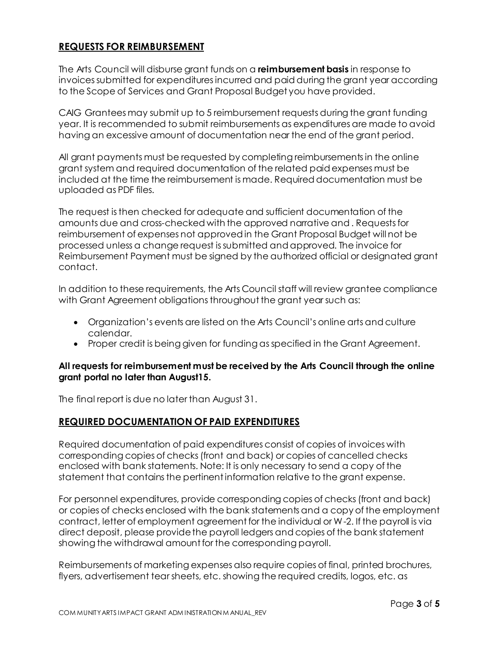# **REQUESTS FOR REIMBURSEMENT**

The Arts Council will disburse grant funds on a **reimbursement basis** in response to invoices submitted for expendituresincurred and paid during the grant year according to the Scope of Services and Grant Proposal Budget you have provided.

CAIG Grantees may submit up to 5 reimbursement requests during the grant funding year. It is recommended to submit reimbursements as expenditures are made to avoid having an excessive amount of documentation near the end of the grant period.

All grant payments must be requested by completing reimbursements in the online grant system and required documentation of the related paid expenses must be included at the time the reimbursement is made. Required documentation must be uploaded as PDF files.

The request is then checked for adequate and sufficient documentation of the amounts due and cross-checked with the approved narrative and . Requests for reimbursement of expenses not approved in the Grant Proposal Budget will not be processed unless a change request is submitted and approved. The invoice for Reimbursement Payment must be signed by the authorized official or designated grant contact.

In addition to these requirements, the Arts Council staff will review grantee compliance with Grant Agreement obligations throughout the grant year such as:

- Organization's events are listed on the Arts Council's online arts and culture calendar.
- Proper credit is being given for funding as specified in the Grant Agreement.

#### **All requests for reimbursement must be received by the Arts Council through the online grant portal no later than August15.**

The final report is due no later than August 31.

#### **REQUIRED DOCUMENTATION OF PAID EXPENDITURES**

Required documentation of paid expenditures consist of copies of invoices with corresponding copies of checks (front and back) or copies of cancelled checks enclosed with bank statements. Note: It is only necessary to send a copy of the statement that contains the pertinent information relative to the grant expense.

For personnel expenditures, provide corresponding copies of checks (front and back) or copies of checks enclosed with the bank statements and a copy of the employment contract, letter of employment agreement for the individual or W-2. If the payroll is via direct deposit, please provide the payroll ledgers and copies of the bank statement showing the withdrawal amount for the corresponding payroll.

Reimbursements of marketing expenses also require copies of final, printed brochures, flyers, advertisement tear sheets, etc. showing the required credits, logos, etc. as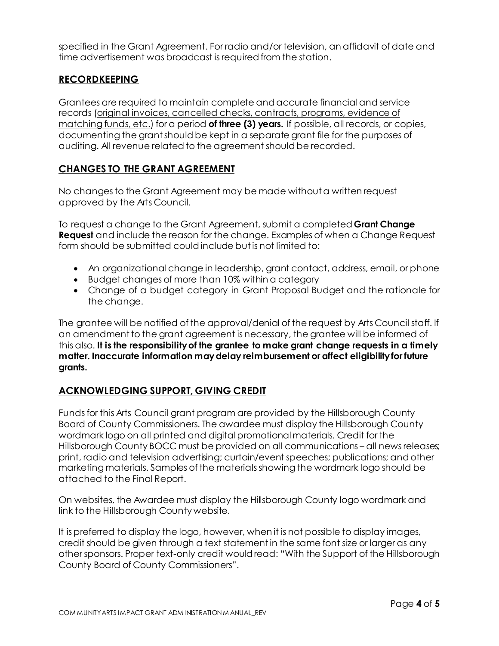specified in the Grant Agreement. For radio and/or television, an affidavit of date and time advertisement was broadcast is required from the station.

# **RECORDKEEPING**

Grantees are required to maintain complete and accurate financialand service records (original invoices, cancelled checks, contracts, programs, evidence of matching funds, etc.) for a period **of three (3) years.** If possible, all records, or copies, documenting the grant should be kept in a separate grant file for the purposes of auditing. All revenue related to the agreement should be recorded.

#### **CHANGES TO THE GRANT AGREEMENT**

No changes to the Grant Agreement may be made without a written request approved by the Arts Council.

To request a change to the Grant Agreement, submit a completed **Grant Change Request** and include the reason for the change. Examples of when a Change Request form should be submitted could include but is not limited to:

- An organizational change in leadership, grant contact, address, email, or phone
- Budget changes of more than 10% within a category
- Change of a budget category in Grant Proposal Budget and the rationale for the change.

The grantee will be notified of the approval/denial of the request by Arts Council staff. If an amendment to the grant agreement is necessary, the grantee will be informed of this also. **It is the responsibility of the grantee to make grant change requests in a timely matter. Inaccurate information may delay reimbursement or affect eligibility for future grants.**

#### **ACKNOWLEDGING SUPPORT, GIVING CREDIT**

Funds for this Arts Council grant program are provided by the Hillsborough County Board of County Commissioners. The awardee must display the Hillsborough County wordmark logo on all printed and digital promotional materials. Credit for the Hillsborough County BOCC must be provided on all communications – all news releases; print, radio and television advertising; curtain/event speeches; publications; and other marketing materials. Samples of the materials showing the wordmark logo should be attached to the Final Report.

On websites, the Awardee must display the Hillsborough County logo wordmark and link to the Hillsborough County website.

It is preferred to display the logo, however, when it is not possible to display images, credit should be given through a text statement in the same font size or larger as any other sponsors. Proper text-only credit would read: "With the Support of the Hillsborough County Board of County Commissioners".